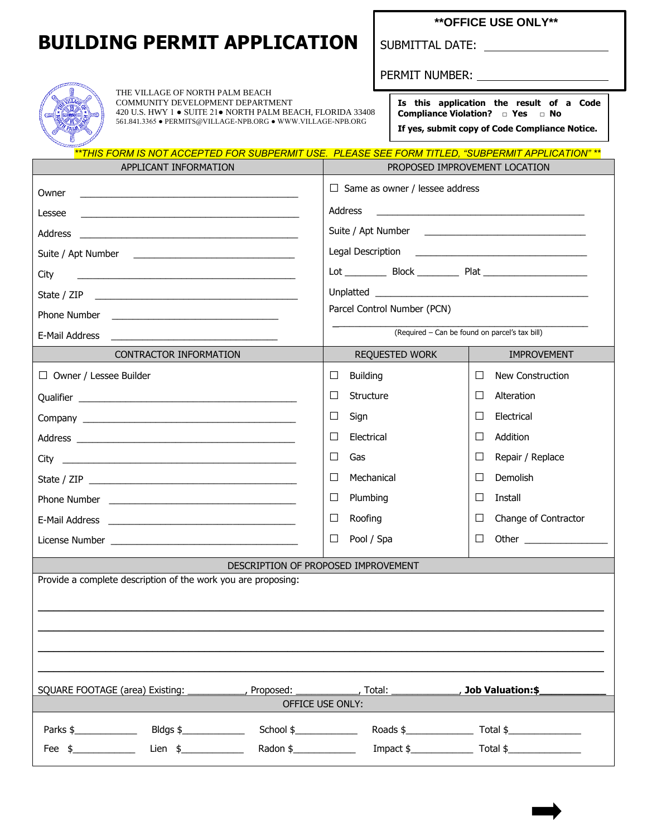## **BUILDING PERMIT APPLICATION** SUBMITTAL DATE:

THE VILLAGE OF NORTH PALM BEACH COMMUNITY DEVELOPMENT DEPARTMENT

420 U.S. HWY 1 ● SUITE 21● NORTH PALM BEACH, FLORIDA 33408  $561.841.3365 \bullet \text{PERMITS@VILLAGE-NPB.ORG} \bullet \text{WWW.VILLAGE-NPB.ORG}$ 

**\*\*OFFICE USE ONLY\*\***

PERMIT NUMBER:

|                                                |  | Is this application the result of a Code<br><b>Compliance Violation?</b> $\Box$ Yes $\Box$ No |  |  |  |  |  |  |
|------------------------------------------------|--|-----------------------------------------------------------------------------------------------|--|--|--|--|--|--|
| If yes, submit copy of Code Compliance Notice. |  |                                                                                               |  |  |  |  |  |  |

*\*\*THIS FORM IS NOT ACCEPTED FOR SUBPERMIT USE. PLEASE SEE FORM TITLED, "SUBPERMIT APPLICATION" \*\**

| APPLICANT INFORMATION                                                                                                                                                                                                                                                                                                                                                                                                                                                                                                                                                                                                                                                       | PROPOSED IMPROVEMENT LOCATION                                                    |                                |  |  |  |
|-----------------------------------------------------------------------------------------------------------------------------------------------------------------------------------------------------------------------------------------------------------------------------------------------------------------------------------------------------------------------------------------------------------------------------------------------------------------------------------------------------------------------------------------------------------------------------------------------------------------------------------------------------------------------------|----------------------------------------------------------------------------------|--------------------------------|--|--|--|
| Owner<br><u> 2000 - 2000 - 2000 - 2000 - 2000 - 2000 - 2000 - 2000 - 2000 - 2000 - 2000 - 2000 - 2000 - 2000 - 2000 - 200</u>                                                                                                                                                                                                                                                                                                                                                                                                                                                                                                                                               | $\Box$ Same as owner / lessee address                                            |                                |  |  |  |
| Lessee<br><u> 1980 - Andrea Aonaichte, ann an t-Aonaichte ann an t-Aonaichte ann an t-Aonaichte ann an t-Aonaichte ann an t-</u>                                                                                                                                                                                                                                                                                                                                                                                                                                                                                                                                            | Address                                                                          |                                |  |  |  |
| Address<br><u> 1988 - Johann John Stein, marwolaeth a bhann an t-</u>                                                                                                                                                                                                                                                                                                                                                                                                                                                                                                                                                                                                       |                                                                                  |                                |  |  |  |
|                                                                                                                                                                                                                                                                                                                                                                                                                                                                                                                                                                                                                                                                             |                                                                                  |                                |  |  |  |
| City<br><u> 1989 - Jan Barbara, margaret eta idazlea (h. 1989).</u>                                                                                                                                                                                                                                                                                                                                                                                                                                                                                                                                                                                                         | Lot ______________ Block _______________ Plat __________________________________ |                                |  |  |  |
|                                                                                                                                                                                                                                                                                                                                                                                                                                                                                                                                                                                                                                                                             |                                                                                  |                                |  |  |  |
|                                                                                                                                                                                                                                                                                                                                                                                                                                                                                                                                                                                                                                                                             | Parcel Control Number (PCN)                                                      |                                |  |  |  |
| E-Mail Address                                                                                                                                                                                                                                                                                                                                                                                                                                                                                                                                                                                                                                                              | (Required - Can be found on parcel's tax bill)                                   |                                |  |  |  |
| <b>CONTRACTOR INFORMATION</b>                                                                                                                                                                                                                                                                                                                                                                                                                                                                                                                                                                                                                                               | <b>REQUESTED WORK</b>                                                            | <b>IMPROVEMENT</b>             |  |  |  |
| $\Box$ Owner / Lessee Builder                                                                                                                                                                                                                                                                                                                                                                                                                                                                                                                                                                                                                                               | <b>Building</b><br>П                                                             | П<br><b>New Construction</b>   |  |  |  |
|                                                                                                                                                                                                                                                                                                                                                                                                                                                                                                                                                                                                                                                                             | $\Box$<br>Structure                                                              | $\Box$<br>Alteration           |  |  |  |
|                                                                                                                                                                                                                                                                                                                                                                                                                                                                                                                                                                                                                                                                             | ⊔<br>Sign                                                                        | П<br>Electrical                |  |  |  |
|                                                                                                                                                                                                                                                                                                                                                                                                                                                                                                                                                                                                                                                                             | Electrical<br>Ш                                                                  | Addition<br>ш                  |  |  |  |
|                                                                                                                                                                                                                                                                                                                                                                                                                                                                                                                                                                                                                                                                             | □<br>Gas                                                                         | Repair / Replace<br>⊔          |  |  |  |
|                                                                                                                                                                                                                                                                                                                                                                                                                                                                                                                                                                                                                                                                             | Mechanical<br>П                                                                  | Demolish<br>П                  |  |  |  |
|                                                                                                                                                                                                                                                                                                                                                                                                                                                                                                                                                                                                                                                                             | Plumbing<br>ப                                                                    | П<br>Install                   |  |  |  |
|                                                                                                                                                                                                                                                                                                                                                                                                                                                                                                                                                                                                                                                                             | Roofing<br>Ш                                                                     | Change of Contractor<br>$\Box$ |  |  |  |
|                                                                                                                                                                                                                                                                                                                                                                                                                                                                                                                                                                                                                                                                             | $\Box$<br>Pool / Spa                                                             | Other $\qquad$<br>ப            |  |  |  |
|                                                                                                                                                                                                                                                                                                                                                                                                                                                                                                                                                                                                                                                                             | DESCRIPTION OF PROPOSED IMPROVEMENT                                              |                                |  |  |  |
| Provide a complete description of the work you are proposing:                                                                                                                                                                                                                                                                                                                                                                                                                                                                                                                                                                                                               |                                                                                  |                                |  |  |  |
|                                                                                                                                                                                                                                                                                                                                                                                                                                                                                                                                                                                                                                                                             |                                                                                  |                                |  |  |  |
|                                                                                                                                                                                                                                                                                                                                                                                                                                                                                                                                                                                                                                                                             |                                                                                  |                                |  |  |  |
|                                                                                                                                                                                                                                                                                                                                                                                                                                                                                                                                                                                                                                                                             |                                                                                  |                                |  |  |  |
|                                                                                                                                                                                                                                                                                                                                                                                                                                                                                                                                                                                                                                                                             |                                                                                  |                                |  |  |  |
| SQUARE FOOTAGE (area) Existing:<br>, Proposed:                                                                                                                                                                                                                                                                                                                                                                                                                                                                                                                                                                                                                              |                                                                                  | , Job Valuation:\$             |  |  |  |
| OFFICE USE ONLY:                                                                                                                                                                                                                                                                                                                                                                                                                                                                                                                                                                                                                                                            |                                                                                  |                                |  |  |  |
| Bldgs \$<br>$School \$                                                                                                                                                                                                                                                                                                                                                                                                                                                                                                                                                                                                                                                      |                                                                                  |                                |  |  |  |
| Lien $\frac{1}{2}$ $\frac{1}{2}$ $\frac{1}{2}$ $\frac{1}{2}$ $\frac{1}{2}$ $\frac{1}{2}$ $\frac{1}{2}$ $\frac{1}{2}$ $\frac{1}{2}$ $\frac{1}{2}$ $\frac{1}{2}$ $\frac{1}{2}$ $\frac{1}{2}$ $\frac{1}{2}$ $\frac{1}{2}$ $\frac{1}{2}$ $\frac{1}{2}$ $\frac{1}{2}$ $\frac{1}{2}$ $\frac{1}{2}$ $\frac{1}{2}$ $\frac{1}{$<br>Radon \$_______________<br>Fee $\frac{1}{2}$ $\frac{1}{2}$ $\frac{1}{2}$ $\frac{1}{2}$ $\frac{1}{2}$ $\frac{1}{2}$ $\frac{1}{2}$ $\frac{1}{2}$ $\frac{1}{2}$ $\frac{1}{2}$ $\frac{1}{2}$ $\frac{1}{2}$ $\frac{1}{2}$ $\frac{1}{2}$ $\frac{1}{2}$ $\frac{1}{2}$ $\frac{1}{2}$ $\frac{1}{2}$ $\frac{1}{2}$ $\frac{1}{2}$ $\frac{1}{2}$ $\frac{1}{2$ | Impact \$ Total \$                                                               |                                |  |  |  |